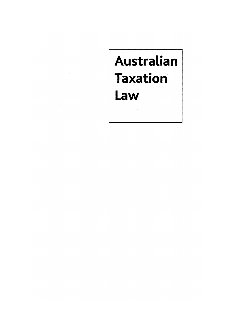# Australian **Taxation** Law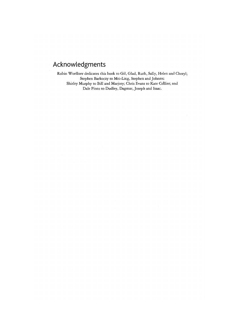## **Acknowledgments**

Robin Woellner dedicates this book to Gil, Glad, Ruth, Sally, Helen and Cheryl; Stephen Barkoczy to Mei-Ling, Stephen and Johnny: Shirley Murphy to **Bill** and Marjory; Chris Evans to Kate Co'llier; and Dale Pinto to Dudley, Dagmar, Joseph and Isaac.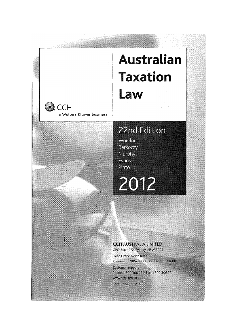# **Australian Taxation Law**

a Wolters Kluwer business

**CCH** 

# 22nd Edition

Woellner Barkoczy Murphy Evans Pinto

# 2012

#### **CCH AUSTRALIA LIMITED** GPO Box 4072, Sydney, NSW 2001

Head Office North Ryde Phone: (02) 9857 1300 Fax: (02) 9857 1600 Customer Support Phone: 1 300 300 224 Fax: 1 300 306 224 www.cch.com.au Book Code: 39321A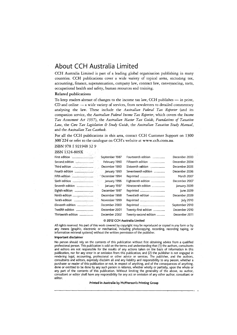#### **About CCH Australia Limited**

CCH Australia Limited is part of a leading global organisation publishing in many countries. CCH publications cover a wide variety of topical areas, including tax, accounting; finance, superannuation, company law, contract law, conveyancing, torts, occupational health and safety, human resources and training.

#### Related publications

To keep readers abreast of changes to the income tax law, CCH publishes  $-$  in print, CD and online - a wide variety of services, from newsletters to detailed commentary analysing the law. These include the *Australian Federal Tax Reporter* (and its companion service, the *Australian Federal Income Tax Reporter,* which covers the *Income Tax Assessment Act* 1997), the *Australian Master Tax Guide, Foundations of Taxation Law,* the *Core Tax Legislation* & *Study Guide,* the *Australian Taxation Study Manual,*  and the *Australian Tax Casébook.* 

For aIl the CCH publications in this area, contact CCH Customer Support on 1300 300"224' or refer to the catalogue on CCH's website at www.cch.com.au.

ISBN 9781 921948 32 9  $IOPY1224.800Y$ 

| 100IN 1924-809A                            |                            |                       |                   |
|--------------------------------------------|----------------------------|-----------------------|-------------------|
| First edition www.communication            | September 1987             | Fourteenth edition    | December 2003     |
|                                            | February 1990              | Fifteenth edition     | December 2004     |
|                                            | December 1990              | Sixteenth edition     | December 2005     |
|                                            | January 1993               | Seventeenth edition   | December 2006     |
|                                            | <sup>*</sup> December 1994 |                       | <b>March 2007</b> |
|                                            | January 1996               | Eighteenth edition    | December 2007     |
|                                            | January 1997               | Nineteenth edition    | January 2009      |
| Eighth edition                             | December 1997              |                       | June 2009         |
| ${\sf Ninth}\; {\sf edition}\;  \nonumber$ | December 1998              | Twentieth edition     | December 2009     |
|                                            | November 1999              |                       | july 2010         |
| Eleventh edition                           | December 2000              |                       | September 2010    |
| Twelfth edition                            | December 2001              | Twenty-first edition  | December 2010     |
| Thirteenth edition                         | December 2002              | Twenty-second edition | December 2011     |
|                                            |                            |                       |                   |

#### © 2012 CCH Australia Lirnited

All rights reserved. No part of this work covered by copyright may be reproduced or copied in.any form or by any rneans (graphie, electronic or rnechanical, including photocopying, recording, recording taping, or information retrieval systems) without the written permission of the publisher.

#### Important disclaimer

No person should rely on the contents of this publication without first obtaining advice from a qualified professional person. This publication is sold on the terrns and understanding that (1) the authors, consultants and editors are not responsible for the results of any actions taken on the basis of inforrnation in this publication, nor for any error in or omission from this publication; and (2) the publisher is not engaged in rendering legal, accounting, professional or other advice or services. The publisher, and the authors, consultants and editors, expressly disclaim all and any liability and responsibility to any person, whether a purchaser or reader of this publication or not, in respect of anything, and of the consequences of anything, done or omitted to be done by any such person in reliance, whether wholly or partially, upon the whole or any part of the contents of this publication. Without limiting the generality of the above, no author, consultant or editor shall have any responsibility for any act or ornission of any other author, consultant or editor.

Printed in Australia by McPherson's Printing Group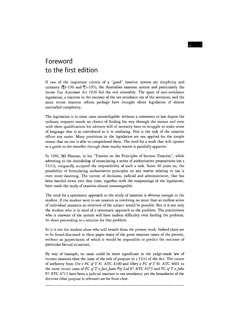## **Foreword to the first edition**

If two of the important criteria of a "good" taxation system are simplicity and certainty ( $\parallel$ 1-190 and  $\parallel$ 1-195), the Australian taxation system and particularly the *Income Tax Assessment Act* 1936 fail the test miserably. The spate of ànti-avoidance legislation, a reaction to the excesses of the tax avoidance era of the seventies, and the more recent taxation reform package have brought about legislation of almost unrivalled complexity.

The legislation is in some cases unintelligible: without a commerce or law degree' thé ordinary taxpayer stands no chance of finding his way through the morass and even with these qualifications his advisers will of necessity have to struggle to make sense of language that is as convoluted as it is confusing. Nor is the task of the taxation officer any easier. Many provisions in the legislation are not applied for the simple reason that no one is able to comprehend them. The need for a work that will operate as a guide to the traveller through these mutky waters is painfully apparent.

In 1946, Mr Hannan, in his "Treatise on the Principles of Income Taxation", while adverting to the desirability of enunciating a series of authoritative propositions (on s  $51(1)$ ), resignedly accepted the impossibility of such a task. Some 40 years on, the possibility of formulating authoritative principles on any matter relating to tax is even more; daunting. The torrent of decisions, judicial and administrative, that has been handed down over that time, together with the outpoutings of the legislature, have made the study of taxation almost unmanageable.

The need for a systematic approach to the srudy of taxation is obvious enough to the student. If the srudent were to see taxation as involving no more than an endless series of individual instances no overview of the subject would be possible. But it is not only the student who is in need of a systematic approach to the problem. The practitioner who is unaware of the system will have endless difficulty even finding the problem, let alone proceeding to a solution for that problem.

So it is not the student alone who will benefit from the present work. Indeed there are to be foundjdiscussed in these pages many of the great taxation issues of the present, without an appreciation of which it would be impossible to predict the outcome of particular factual situations.

By way of 'example, no issue could be more significant in the judge-made law of income taxation than the issue of the role of purpose in  $s$  51(1) of the Act. The course of authority from *Ure v FC ofT* 81 ATC 4100 and *Ilbery v FC ofT* 81 ATC 4661 to the more recent cases of *FC of T v Just Jeans Pty Ltd* 87 ATC 4373 and *FC of T v John* 87 ATC 4713 have been a judicial reaction to tax avoidance; yet the boundaries of the doctrine (that putpose is relevant) are far from clear.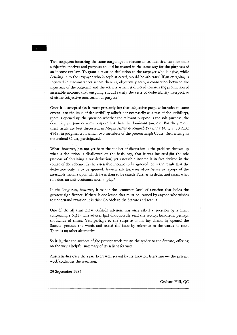Two taxpayers incurring the same ourgoings in circumstances identical save for their subjective motives and purposes should be treated in the same way for the purposes of an income tax law. To grant a taxation deduction to the taxpayer who is naive, while denying it to the taxpayer who is sophisticated, would be arbitrary. If an outgoing is incurred in circumstances where there is, objectively seen, a connectioh between the  $incuring$  of the outgoing and the activity which is directed towards the production of assessable income, that outgoing should satisfy the tests of deductibility irrespective of either subjective motivation or purpose.

Once it is accepted (as it must presently be) that subjective purpose intrudes to sorne extent into the issue of deductibility (albeit not necessarily as a test of deductibility), there is opened up the question whether the relevant purpose is the sole purpose, the dominant purpose or sorne purpose less than the dominant purpose. For the present these issues are best discussed, in *Magna Alloys & Research Pty Ltd v FC of T 80 ATC* 4542, in judgments in which two members of the present High Court, then sitting in the Federal Court, participated.

What, however, has not yet been the subject of discussion is the problem thrown up when a deduction is disallowed on the basis, say, that it was incurred for the sole purpose of obtaining a tax deduction, yet assessable income is in fact derived in the course of the scheme. Is the asses sable income to be ignored, or is the result that the deduction only is to be ignored, leaving the taxpayer nevertheless in receipt of the assessable income upon which he is then to be taxed? Further in deduction cases, what role does an anti-avoidance section play?

In the long run, however, it is not the "common law" of taxation that holds the greatest significance. If there is one lesson that must be learned by anyone who wishes to understand taxation it is this: Go back to the Statute and read it!

One of the all time great taxation advisers was once asked a question by a client concerning s 51(1). The adviser had undoubtedly read the section hundreds, perhaps thousands of times. Yet, perhaps to the surprise of his lay client, he opened the Statute, perused the words and tested the issue by reference to the words he read. There is no other alternative.

So it is, that the authors of the present work return the reader to the Statute, offering on the way a helpful summary of its salient features.

Australia has over the years been well served by its taxation literature - the present work continues the tradition.

23 September 1987

Graham Hill, QC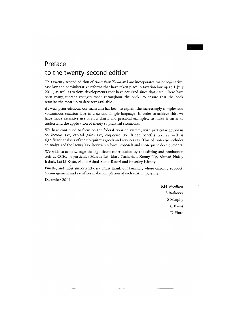### **Preface to the twenty-second edition**

This twenty-second edition of *Australian Taxation Law* incorporates major legislative, case law and administrative reforms that have taken place in taxation law up to 1 July 2011, as well as various developments that have occurred since that date. There have been many content changes made throughout the book, to ensure that the book remains the most up to date text available.

As with prior editions, our main aim has been to explain the increasingly complex and voluminous taxation laws in clear and simple language. In order to achieve this, we have made extensive use of flow-charts and practical examples, to make it easier to understand the application of theory to practical situations.

We have contimied to focus on the federal taxation system, with particular emphasis on income tax, capital gains tax, corporate tax, fringe benefits tax, as well as significant analysis of the ubiquitous goods and services tax. This edition also includes an analysis of the Henry Tax Review's reform proposaIs and subseguent developments.

We wish to acknowledge the significant contribution by the editing and production staff at CCH, in particular Marcus lai, Mary Zachariah, Kenny Ng, Ahmad Nubly Isahak, Lai Li Kuan, Mohd Ashraf Mohd Rafdzi and Beverley Kirkby.

Finally, and most importantly, we must thank our families, whose ongoing support, encouragement and sacrifices make completion of each edition possible.

December 2011

RH Woellner S Barkoczy SMurphy C Evans D Pinto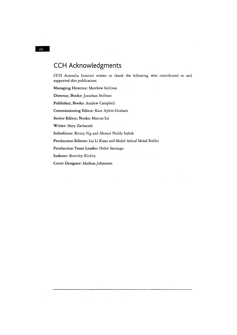## **CCH Acknowledgments**

CCH Australia Limited wishes to thank the following who contributed to and supported this publication:

Managing Director: Matthew Sullivan

Director, Books: Jonathan Seifman

Publisher, Books: Andrew Campbell

Commissioning Editor: Kate Aylett-Graham

Senior Editor, Books: Marcus Lai

Writer: Mary Zachariah

Subeditors: Kenny Ng and Ahmad Nubly Isahak

Production Editors: Lai Li Kuan and Mohd Ashraf Mohd Rafdzi

Production Team Leader: Helen Santiago

Indexer: Beverley Kirkby

Cover Designer: Mathias Johansson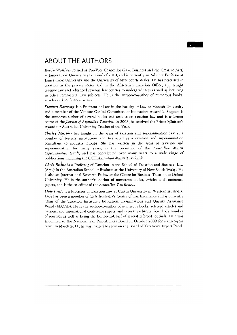#### **ABOUT THE AUTHORS**

*Robin Woellner* retired as Pro-Vice Chancellor (Law, Business and the Creative Arts) at James Cook University at the end of 2010, and is currently an Adjunct Professor at James Cook University and the University of New South Wales. He has practised in taxation in the private sector and in the Australian Taxation Office, and taught revenue law and advanced revenue law courses to undergraduates as well as lecturing in other commercial law subjects. He is the author/co-author of numerous books, articles and conference papers.

Stephen Barkoczy is a Professor of Law in the Faculty of Law at Monash University and a member of the Venture Capital Committee of Innovation Australia. Stephen is the author/co-author of several books and articles on taxation law and is a former editor of the *Journal of Australian Taxation.* In 2008, he received the Prime Minister's Award for Australian University Teacher of the Year.

*Shirley Murphy* has taught in the areas of taxation and superannuation law at a number of tertiary institutions and has acted as a taxation and superannuation consultant to industry groups. She has written in the areas of taxation and superannuation for many years, is the co-author of the *Australian Master Superannuation Guide,* and has contributed over many years to a wide range of publications including the CCH Australian Master Tax Guide.

Chris Evans is a Professor of Taxation in the School of Taxation and Business Law (Atax) in the Australian School of Business at the University of New South Wales. He is also an International Research Fellow at the Centre for Business Taxation at Oxford University. He is the author/co-author of numerous books, articles and conference papers, and is the co-editor of the *Australian T ax Review.* 

*Dale Pinto* is a Professor of Taxation Law at Curtin University in Western Australia. Dale has been a member of CPA Australia's Centre of Tax Excellence and is currently Chair of the Taxation Institute's Education, Examinations and Quality Assurance Board (EEQAB). He is the author/co-author of numerous books, refereed articles and national and international conference papers, and is on the editorial board of a number of journals as well as being the Editor-in-Chief of several refereed journals. Dale was appointed to the National Tax Practitioners Board in October 2009 for a three-year term. In March 2011, he was invited to serve on the Board of Taxation's Expert Panel.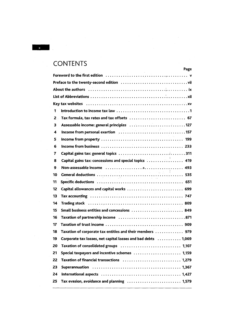# **CONTENTS**

|      | Page                                                                                                           |
|------|----------------------------------------------------------------------------------------------------------------|
|      |                                                                                                                |
|      |                                                                                                                |
|      | About the authors in the contract of the contract of the substitution of the substitution of the substitution  |
|      |                                                                                                                |
|      |                                                                                                                |
| 1    |                                                                                                                |
| 2. . | Tax formula, tax rates and tax offsets  67                                                                     |
| 3    | Assessable income: general principles 127                                                                      |
| 4    |                                                                                                                |
| 5    |                                                                                                                |
| 6    |                                                                                                                |
| 7    |                                                                                                                |
| 8    | Capital gains tax: concessions and special topics in the controller to the 19                                  |
| 9    |                                                                                                                |
| 10   | a sa m                                                                                                         |
| 11   | Specific deductions was an array and successive contract to the specific deductions was assembly to the set of |
| 12   | Capital allowances and capital works  699                                                                      |
| 13   |                                                                                                                |
| 14   |                                                                                                                |
| 15   | Small business entities and concessions  849                                                                   |
| 16   |                                                                                                                |
| 17   |                                                                                                                |
| 18   | Taxation of corporate tax entities and their members  979                                                      |
| 19   | Corporate tax losses, net capital losses and bad debts  1,069                                                  |
| Z0   | Taxation of consolidated groups $\ldots \ldots \ldots \ldots \ldots \ldots \ldots \ldots \ldots$ 1,107         |
| 21   | Special taxpayers and incentive schemes  1,159                                                                 |
| 22   | Taxation of financial transactions  1,279                                                                      |
| 23   |                                                                                                                |
| 24   |                                                                                                                |
| 25   | Tax evasion, avoidance and planning  1,579                                                                     |
|      |                                                                                                                |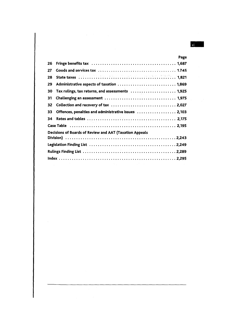|    |                                                                                                                                                                                                                               | Page |
|----|-------------------------------------------------------------------------------------------------------------------------------------------------------------------------------------------------------------------------------|------|
| 26 | Fringe benefits tax influences in the control of the state of the state of the state of the state of the state of the state of the state of the state of the state of the state of the state of the state of the state of the |      |
| 27 | Goods and services tax and contained and contained areas of the 1.745                                                                                                                                                         |      |
| 28 |                                                                                                                                                                                                                               |      |
| 29 |                                                                                                                                                                                                                               |      |
| 30 | Tax rulings, tax returns, and assessments  1,925                                                                                                                                                                              |      |
| 31 |                                                                                                                                                                                                                               |      |
| 32 |                                                                                                                                                                                                                               |      |
| 33 | Offences, penalties and administrative issues [ 2,103                                                                                                                                                                         |      |
| 34 |                                                                                                                                                                                                                               |      |
|    |                                                                                                                                                                                                                               |      |
|    | Decisions of Boards of Review and AAT (Taxation Appeals                                                                                                                                                                       |      |
|    |                                                                                                                                                                                                                               |      |
|    |                                                                                                                                                                                                                               |      |
|    |                                                                                                                                                                                                                               |      |

 $\sim$ 

 $\overline{\mathbf{X}}$   $\overline{\mathbf{I}}$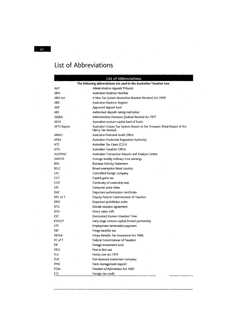# **List of Abbreviations**

|                    | List of Abbreviations                                                                           |
|--------------------|-------------------------------------------------------------------------------------------------|
|                    | The following abbreviations are used in the Australian Taxation Law.                            |
| AAT                | Administrative Appeals Tribunal                                                                 |
| ABN                | Australian Business Number                                                                      |
| ABN Act            | A New Tax System (Australian Business Number) Act 1999                                          |
| ABR .              | Australian Business Register                                                                    |
| ADF                | Approved deposit fund                                                                           |
| <b>ADI</b>         | Authorised deposit-taking institution                                                           |
| ADJRA              | Administrative Decisions (Judicial Review) Act 1977                                             |
| AFOF               | Australian venture capital fund of funds                                                        |
| <b>AFTS Report</b> | Australia's Future Tax System Report to the Treasurer (Final Report of the<br>Henry Tax Review) |
| ANAO               | Australian National Audit Office                                                                |
| <b>APRA</b>        | Australian Prudential Regulation Authority                                                      |
| ATC                | Australian Tax Cases (CCH)                                                                      |
| ATO                | Australian Taxation Office                                                                      |
| <b>AUSTRAC</b>     | Australian Transaction Reports and Analysis Centre                                              |
| <b>AWOTE</b>       | Average weekly ordinary time earnings                                                           |
| BAS                | <b>Business Activity Statement</b>                                                              |
| <b>BELC</b>        | Broad-exemption listed country                                                                  |
| CFC                | Controlled foreign company                                                                      |
| CGT                | Capital gains tax                                                                               |
| COT                | Continuity of ownership test                                                                    |
| CPI                | Consumer price index                                                                            |
| <b>DAC</b>         | Departure authorization certificate                                                             |
| DFC of T           | Deputy Federal Commissioner of Taxation                                                         |
| DPO                | Departure prohibition order                                                                     |
| DTA                | Double taxation agreement                                                                       |
| DVS                | Direct value shift                                                                              |
| <b>EST</b>         | (Australian) Eastern Standard Time                                                              |
| <b>ESVCLP</b>      | Early stage venture capital limited partnership                                                 |
| ETP                | Employment termination payment                                                                  |
| <b>FBT</b>         | Fringe benefits tax                                                                             |
| <b>FBTAA</b>       | Fringe Benefits Tax Assessment Act 1986                                                         |
| FC of T            | <b>Federal Commissioner of Taxation</b>                                                         |
| FIF                | Foreign investment fund                                                                         |
| <b>FIFO</b>        | First in first out                                                                              |
| FLA                | Family Law Act 1975                                                                             |
| FLIC               | Film licensed investment company                                                                |
| FMD                | Farm management deposit                                                                         |
| FOIA               | Freedom of Information Act 1982                                                                 |
| <b>FTC</b>         | Foreign tax credit                                                                              |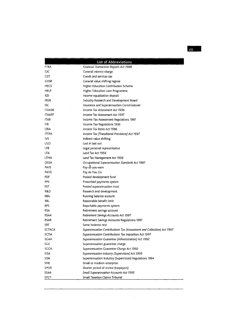-

|               | <b>List of Abbreviations</b>                                          |
|---------------|-----------------------------------------------------------------------|
| FTRA          | Financial Transaction Reports Act 1988                                |
| CIC           | General interest charge                                               |
| GST           | Goods and services tax                                                |
| CVSR          | General value shifting regime                                         |
| HECS          | Higher Education Contribution Scheme                                  |
| HELP          | Higher Education Loan Programme                                       |
| IED           | Income equalization deposit                                           |
| <b>IRDB</b>   | Industry Research and Development Board                               |
| ISC           | Insurance and Superannuation Commissioner                             |
| ITAA36        | Income Tax Assessment Act 1936                                        |
| ITAA97        | Income Tax Assessment Act 1997                                        |
| ITAR          | Income Tax Assessment Regulations 1997                                |
| <b>ITR</b>    | Income Tax Regulations 1936                                           |
| <b>ITRA</b>   | Income Tax Rates Act 1986                                             |
| <b>ITTPA</b>  | Income Tax (Transitional Provisions) Act 1997                         |
| IVS           | Indirect value shifting                                               |
| LILO          | Last in last out                                                      |
| LPR           | Legal personal representative                                         |
| <b>LTA</b>    | Land Tax Act 1956                                                     |
| LTMA          | Land Tax Management Act 1956                                          |
| OSSA          | Occupational Superannuation Standards Act 1987                        |
| PAYE          | Pay-as-you-earn                                                       |
| PAYG          | Pay As You Go                                                         |
| PDF           | Pooled development fund                                               |
| PPS           | Prescribed payments system.                                           |
| PST           | Pooled superannuation trust                                           |
| R&D           | Research and development                                              |
| RBA           | Running balance account                                               |
| RBL           | Reasonable benefit limit                                              |
| RPS           | Reportable payments system                                            |
| <b>RSA</b>    | Retirement savings account                                            |
| <b>RSAA</b>   | Retirement Savings Accounts Act 1997                                  |
| <b>RSAR</b>   | Retirement Savings Accounts Regulations 1997                          |
| SBT           | Same business test                                                    |
| <b>SCTACA</b> | Superannuation Contributions Tax (Assessment and Collection) Act 1997 |
| SCTIA         | Superannuation Contributions Tax Imposition Act 1997                  |
| SGAA          | Superannuation Guarantee (Administration) Act 1992                    |
| SGC           | Superannuation guarantee charge                                       |
| SGCA          | Superannuation Guarantee Charge Act 1992                              |
| SISA          | Superannuation Industry (Supervision) Act 1993                        |
| <b>SISR</b>   | Superannuation Industry (Supervision) Regulations 1994                |
| SME           | Small or medium enterprise                                            |
| <b>SPOR</b>   | Shorter period of review (taxpayers)                                  |
| SSAA          | <b>Small Superannuation Accounts Act 1995</b>                         |
| <b>STCT</b>   | <b>Small Taxation Claims Tribunal</b>                                 |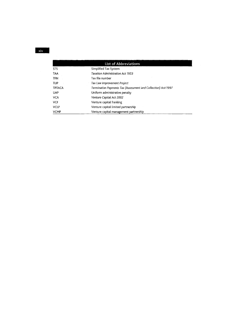| <b>List of Abbreviations</b> |                                                               |  |  |  |  |
|------------------------------|---------------------------------------------------------------|--|--|--|--|
| <b>STS</b>                   | Simplified Tax System                                         |  |  |  |  |
| <b>TAA</b>                   | <b>Taxation Administration Act 1953</b>                       |  |  |  |  |
| <b>TFN</b>                   | Tax file number                                               |  |  |  |  |
| TLIP                         | Tax Law Improvement Project                                   |  |  |  |  |
| <b>TPTACA</b>                | Termination Payments Tax (Assessment and Collection) Act 1997 |  |  |  |  |
| UAP                          | Uniform administrative penalty                                |  |  |  |  |
| VCA                          | Venture Capital Act 2002                                      |  |  |  |  |
| <b>VCF</b>                   | Venture capital franking                                      |  |  |  |  |
| <b>VCLP</b>                  | Venture capital limited partnership                           |  |  |  |  |
| <b>VCMP</b>                  | Venture capital management partnership                        |  |  |  |  |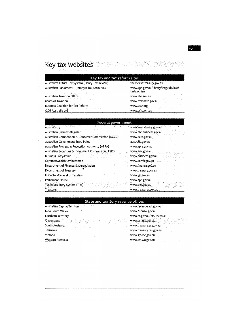# $~\kappa$ ey tax websites '

 $\frac{1}{2}$ 

| Australia's Future Tax System (Henry Tax Review)           | taxreview.treasury.gov.au                          |
|------------------------------------------------------------|----------------------------------------------------|
| Australian Parliament - Internet Tax Resources<br>いっとかいっかる | www.aph.gov.au/library/intguide/law/<br>taxlaw.htm |
| <b>Australian Taxation Office</b>                          | www.ato.gov.au<br>3 - 9 L                          |
| Board of Taxation                                          | www.taxboard.gov.au                                |
| <b>Business Coalition for Tax Reform</b>                   | tradicional di Santa Co<br>www.bctr.org            |
| <b>CCH Australia Ltd</b>                                   | www.cch.com.au                                     |

#### **Federal government**

| 지역 개발 상품은 지하고 있다. 전 사람은 대학 사람들은 인사를 통해 주시기로 했다.<br>Ausindustry | www.ausindustry.gov.au    |
|----------------------------------------------------------------|---------------------------|
| Australian Business Register                                   | www.abr.business.gov.au   |
| Australian Competition & Consumer Commission (ACCC)            | www.accc.gov.au           |
| Australian Government Entry Point                              | australia.gov.au          |
| Australian Prudential Regulation Authority (APRA)              | www.apra.gov.au           |
| Australian Securities & Investment Commission (ASIC).          | www.asic.gov.au           |
| Business Entry Point                                           | www.business.gov.au       |
| Commonwealth Ombudsman                                         | www.comb.gov.au<br>يستدوا |
| Department of Finance & Deregulation                           | www.finance.gov.au        |
| Department of Treasury                                         | www.treasury.gov.au       |
| Inspector-General of Taxation                                  | www.igt.gov.au            |
| Parliament House                                               | www.aph.gov.au            |
| Tax Issues Entry System (Ties)                                 | www.ties.gov.au           |
| Treasurer                                                      | www.treasurer.gov.au      |

 $\mathbb{Z}_{\geq 0}$ 

|  | state of the care that suggests |                                     |  |  |  |  |
|--|---------------------------------|-------------------------------------|--|--|--|--|
|  |                                 | State and territory revenue offices |  |  |  |  |

| <b>Australian Capital Territory Australian Capital Territory</b> | www.revenue.act.gov.au               |
|------------------------------------------------------------------|--------------------------------------|
|                                                                  |                                      |
| New South Wales                                                  | www.osr.nsw.gov.au                   |
| Northern Territory                                               | www.nt.gov.au/ntt/revenue            |
| "有缺氧"的是"不是"的"不要"<br>Queensland                                   | www.osr.qld.gov.au                   |
| South Australia                                                  | www.treasury.sa.gov.au entry and the |
| Tasmania<br>and the state                                        | www.treasury.tas.gov.au              |
| Victoria                                                         | www.sro.vic.gov.au                   |
| Western Australia                                                | www.dtf.wa.gov.au                    |

 $\frac{1}{2}$